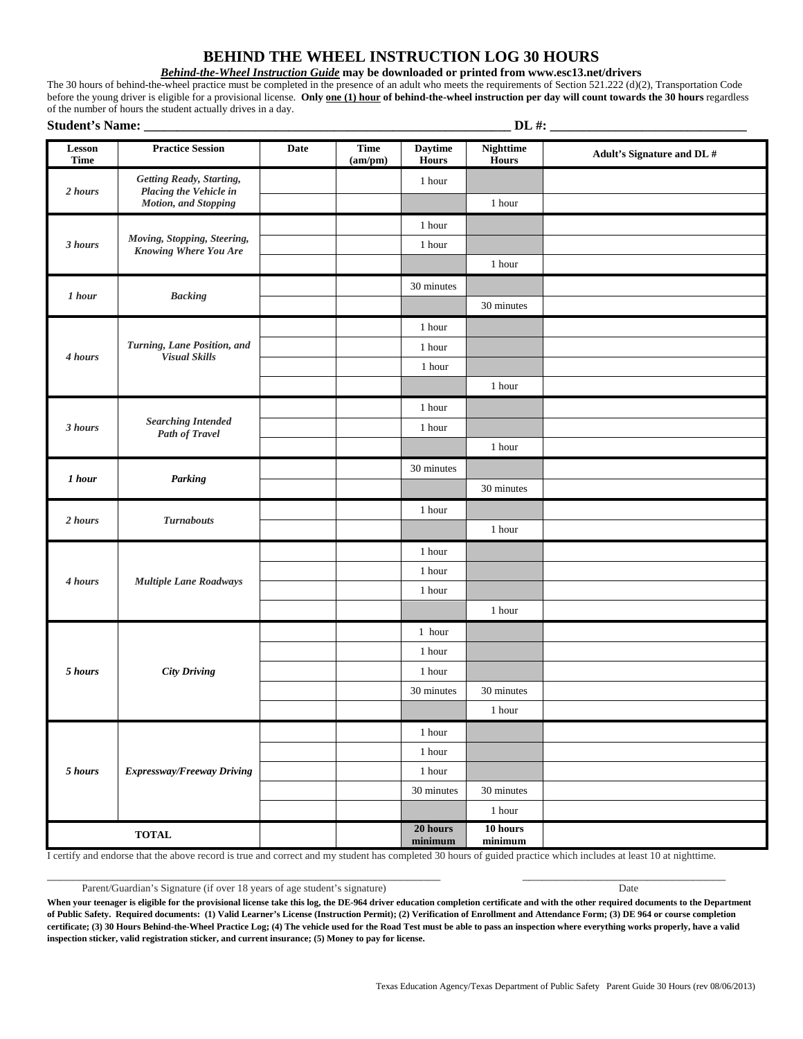## **BEHIND THE WHEEL INSTRUCTION LOG 30 HOURS**

## *Behind-the-Wheel Instruction Guide* **may be downloaded or printed from www.esc13.net/drivers**

The 30 hours of behind-the-wheel practice must be completed in the presence of an adult who meets the requirements of Section 521.222 (d)(2), Transportation Code before the young driver is eligible for a provisional license. **Only one (1) hour of behind-the-wheel instruction per day will count towards the 30 hours** regardless of the number of hours the student actually drives in a day.<br>
Student's Nomes

| <b>Student's Name:</b> |                                                                                    |             | $DL$ #:                |                                |                                  |                            |
|------------------------|------------------------------------------------------------------------------------|-------------|------------------------|--------------------------------|----------------------------------|----------------------------|
| Lesson<br><b>Time</b>  | <b>Practice Session</b>                                                            | <b>Date</b> | <b>Time</b><br>(am/pm) | <b>Daytime</b><br>Hours        | <b>Nighttime</b><br><b>Hours</b> | Adult's Signature and DL # |
| 2 hours                | Getting Ready, Starting,<br>Placing the Vehicle in<br><b>Motion</b> , and Stopping |             |                        | 1 hour                         |                                  |                            |
|                        |                                                                                    |             |                        |                                | 1 hour                           |                            |
| 3 hours                | Moving, Stopping, Steering,<br>Knowing Where You Are                               |             |                        | 1 hour                         |                                  |                            |
|                        |                                                                                    |             |                        | 1 hour                         |                                  |                            |
|                        |                                                                                    |             |                        |                                | 1 hour                           |                            |
| 1 hour                 | <b>Backing</b>                                                                     |             |                        | 30 minutes                     |                                  |                            |
|                        |                                                                                    |             |                        |                                | 30 minutes                       |                            |
| 4 hours                | Turning, Lane Position, and<br><b>Visual Skills</b>                                |             |                        | 1 hour                         |                                  |                            |
|                        |                                                                                    |             |                        | 1 hour                         |                                  |                            |
|                        |                                                                                    |             |                        | 1 hour                         |                                  |                            |
|                        |                                                                                    |             |                        |                                | 1 hour                           |                            |
| 3 hours                | <b>Searching Intended</b><br><b>Path of Travel</b>                                 |             |                        | 1 hour                         |                                  |                            |
|                        |                                                                                    |             |                        | 1 hour                         |                                  |                            |
|                        |                                                                                    |             |                        |                                | 1 hour                           |                            |
| 1 hour                 | Parking                                                                            |             |                        | 30 minutes                     |                                  |                            |
|                        |                                                                                    |             |                        |                                | 30 minutes                       |                            |
| 2 hours                | <b>Turnabouts</b>                                                                  |             |                        | 1 hour                         |                                  |                            |
|                        |                                                                                    |             |                        |                                | 1 hour                           |                            |
| 4 hours                | <b>Multiple Lane Roadways</b>                                                      |             |                        | 1 hour                         |                                  |                            |
|                        |                                                                                    |             |                        | 1 hour                         |                                  |                            |
|                        |                                                                                    |             |                        | 1 hour                         |                                  |                            |
|                        |                                                                                    |             |                        |                                | 1 hour                           |                            |
| $5 \; hours$           | <b>City Driving</b>                                                                |             |                        | 1 hour                         |                                  |                            |
|                        |                                                                                    |             |                        | 1 hour                         |                                  |                            |
|                        |                                                                                    |             |                        | 1 hour                         |                                  |                            |
|                        |                                                                                    |             |                        | 30 minutes                     | 30 minutes                       |                            |
|                        |                                                                                    |             |                        |                                | 1 hour                           |                            |
| 5 hours                | <b>Expressway/Freeway Driving</b>                                                  |             |                        | 1 hour                         |                                  |                            |
|                        |                                                                                    |             |                        | 1 hour                         |                                  |                            |
|                        |                                                                                    |             |                        | $1\;{\rm hour}$                |                                  |                            |
|                        |                                                                                    |             |                        | 30 minutes                     | 30 minutes                       |                            |
|                        |                                                                                    |             |                        |                                | 1 hour                           |                            |
|                        | $\bf TOTAL$                                                                        |             |                        | 20 hours<br>$\mathbf{minimum}$ | $10$ hours<br>minimum            |                            |

I certify and endorse that the above record is true and correct and my student has completed 30 hours of guided practice which includes at least 10 at nighttime.

Parent/Guardian's Signature (if over 18 years of age student's signature) Date

When your teenager is eligible for the provisional license take this log, the DE-964 driver education completion certificate and with the other required documents to the Department **of Public Safety. Required documents: (1) Valid Learner's License (Instruction Permit); (2) Verification of Enrollment and Attendance Form; (3) DE 964 or course completion certificate; (3) 30 Hours Behind-the-Wheel Practice Log; (4) The vehicle used for the Road Test must be able to pass an inspection where everything works properly, have a valid inspection sticker, valid registration sticker, and current insurance; (5) Money to pay for license.**